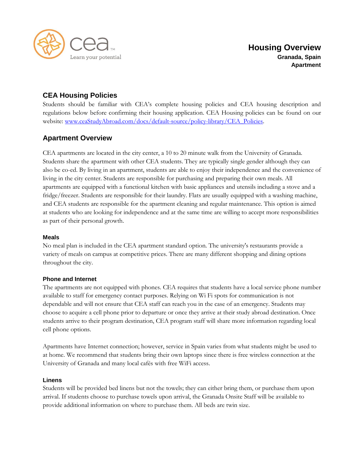

# **CEA Housing Policies**

Students should be familiar with CEA's complete housing policies and CEA housing description and regulations below before confirming their housing application. CEA Housing policies can be found on our website: [www.ceaStudyAbroad.com/docs/default-source/policy-library/CEA\\_Policies.](http://www.ceastudyabroad.com/docs/default-source/policy-library/CEA_Policies)

## **Apartment Overview**

CEA apartments are located in the city center, a 10 to 20 minute walk from the University of Granada. Students share the apartment with other CEA students. They are typically single gender although they can also be co-ed. By living in an apartment, students are able to enjoy their independence and the convenience of living in the city center. Students are responsible for purchasing and preparing their own meals. All apartments are equipped with a functional kitchen with basic appliances and utensils including a stove and a fridge/freezer. Students are responsible for their laundry. Flats are usually equipped with a washing machine, and CEA students are responsible for the apartment cleaning and regular maintenance. This option is aimed at students who are looking for independence and at the same time are willing to accept more responsibilities as part of their personal growth.

## **Meals**

No meal plan is included in the CEA apartment standard option. The university's restaurants provide a variety of meals on campus at competitive prices. There are many different shopping and dining options throughout the city.

## **Phone and Internet**

The apartments are not equipped with phones. CEA requires that students have a local service phone number available to staff for emergency contact purposes. Relying on Wi Fi spots for communication is not dependable and will not ensure that CEA staff can reach you in the case of an emergency. Students may choose to acquire a cell phone prior to departure or once they arrive at their study abroad destination. Once students arrive to their program destination, CEA program staff will share more information regarding local cell phone options.

Apartments have Internet connection; however, service in Spain varies from what students might be used to at home. We recommend that students bring their own laptops since there is free wireless connection at the University of Granada and many local cafés with free WiFi access.

#### **Linens**

Students will be provided bed linens but not the towels; they can either bring them, or purchase them upon arrival. If students choose to purchase towels upon arrival, the Granada Onsite Staff will be available to provide additional information on where to purchase them. All beds are twin size.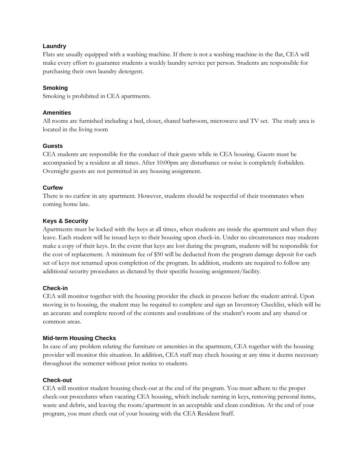## **Laundry**

Flats are usually equipped with a washing machine. If there is not a washing machine in the flat, CEA will make every effort to guarantee students a weekly laundry service per person. Students are responsible for purchasing their own laundry detergent.

## **Smoking**

Smoking is prohibited in CEA apartments.

## **Amenities**

All rooms are furnished including a bed, closet, shared bathroom, microwave and TV set. The study area is located in the living room

## **Guests**

CEA students are responsible for the conduct of their guests while in CEA housing. Guests must be accompanied by a resident at all times. After 10:00pm any disturbance or noise is completely forbidden. Overnight guests are not permitted in any housing assignment.

## **Curfew**

There is no curfew in any apartment. However, students should be respectful of their roommates when coming home late.

## **Keys & Security**

Apartments must be locked with the keys at all times, when students are inside the apartment and when they leave. Each student will be issued keys to their housing upon check-in. Under no circumstances may students make a copy of their keys. In the event that keys are lost during the program, students will be responsible for the cost of replacement. A minimum fee of \$50 will be deducted from the program damage deposit for each set of keys not returned upon completion of the program. In addition, students are required to follow any additional security procedures as dictated by their specific housing assignment/facility.

## **Check-in**

CEA will monitor together with the housing provider the check in process before the student arrival. Upon moving in to housing, the student may be required to complete and sign an Inventory Checklist, which will be an accurate and complete record of the contents and conditions of the student's room and any shared or common areas.

## **Mid-term Housing Checks**

In case of any problem relating the furniture or amenities in the apartment, CEA together with the housing provider will monitor this situation. In addition, CEA staff may check housing at any time it deems necessary throughout the semester without prior notice to students.

## **Check-out**

CEA will monitor student housing check-out at the end of the program. You must adhere to the proper check-out procedures when vacating CEA housing, which include turning in keys, removing personal items, waste and debris, and leaving the room/apartment in an acceptable and clean condition. At the end of your program, you must check out of your housing with the CEA Resident Staff.